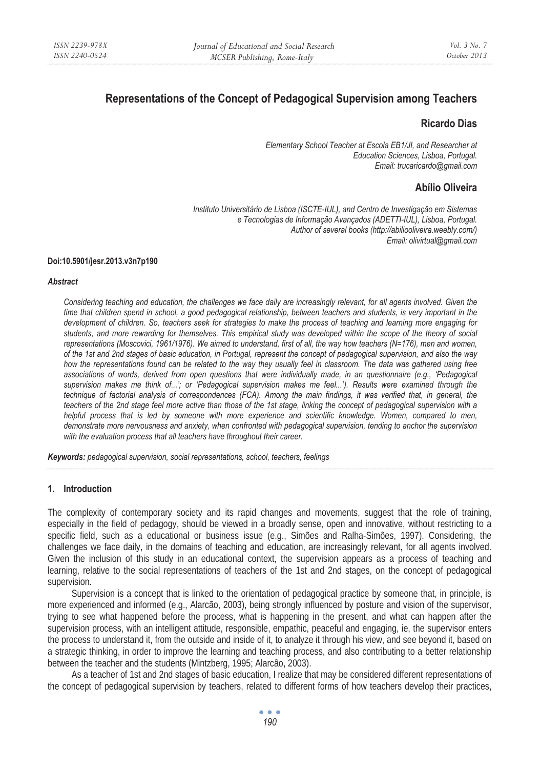# **Representations of the Concept of Pedagogical Supervision among Teachers**

## **Ricardo Dias**

 *Elementary School Teacher at Escola EB1/JI, and Researcher at Education Sciences, Lisboa, Portugal. Email: trucaricardo@gmail.com* 

# **Abílio Oliveira**

*Instituto Universitário de Lisboa (ISCTE-IUL), and Centro de Investigação em Sistemas e Tecnologias de Informação Avançados (ADETTI-IUL), Lisboa, Portugal. Author of several books (http://abiliooliveira.weebly.com/) Email: olivirtual@gmail.com* 

#### **Doi:10.5901/jesr.2013.v3n7p190**

#### *Abstract*

*Considering teaching and education, the challenges we face daily are increasingly relevant, for all agents involved. Given the time that children spend in school, a good pedagogical relationship, between teachers and students, is very important in the development of children. So, teachers seek for strategies to make the process of teaching and learning more engaging for students, and more rewarding for themselves. This empirical study was developed within the scope of the theory of social representations (Moscovici, 1961/1976). We aimed to understand, first of all, the way how teachers (N=176), men and women, of the 1st and 2nd stages of basic education, in Portugal, represent the concept of pedagogical supervision, and also the way how the representations found can be related to the way they usually feel in classroom. The data was gathered using free associations of words, derived from open questions that were individually made, in an questionnaire (e.g., 'Pedagogical supervision makes me think of...'; or 'Pedagogical supervision makes me feel...'). Results were examined through the technique of factorial analysis of correspondences (FCA). Among the main findings, it was verified that, in general, the teachers of the 2nd stage feel more active than those of the 1st stage, linking the concept of pedagogical supervision with a helpful process that is led by someone with more experience and scientific knowledge. Women, compared to men, demonstrate more nervousness and anxiety, when confronted with pedagogical supervision, tending to anchor the supervision with the evaluation process that all teachers have throughout their career.* 

*Keywords: pedagogical supervision, social representations, school, teachers, feelings* 

### **1. Introduction**

The complexity of contemporary society and its rapid changes and movements, suggest that the role of training, especially in the field of pedagogy, should be viewed in a broadly sense, open and innovative, without restricting to a specific field, such as a educational or business issue (e.g., Simões and Ralha-Simões, 1997). Considering, the challenges we face daily, in the domains of teaching and education, are increasingly relevant, for all agents involved. Given the inclusion of this study in an educational context, the supervision appears as a process of teaching and learning, relative to the social representations of teachers of the 1st and 2nd stages, on the concept of pedagogical supervision.

Supervision is a concept that is linked to the orientation of pedagogical practice by someone that, in principle, is more experienced and informed (e.g., Alarcão, 2003), being strongly influenced by posture and vision of the supervisor, trying to see what happened before the process, what is happening in the present, and what can happen after the supervision process, with an intelligent attitude, responsible, empathic, peaceful and engaging, ie, the supervisor enters the process to understand it, from the outside and inside of it, to analyze it through his view, and see beyond it, based on a strategic thinking, in order to improve the learning and teaching process, and also contributing to a better relationship between the teacher and the students (Mintzberg, 1995; Alarcão, 2003).

As a teacher of 1st and 2nd stages of basic education, I realize that may be considered different representations of the concept of pedagogical supervision by teachers, related to different forms of how teachers develop their practices,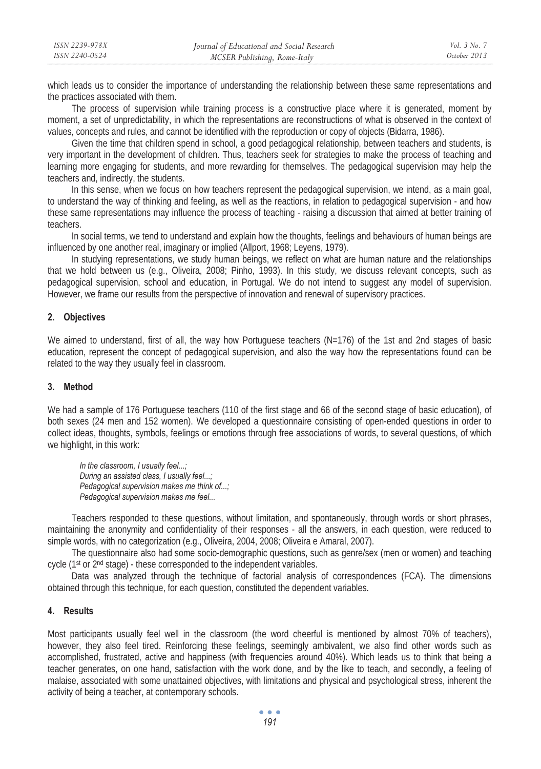| ISSN 2239-978X | Journal of Educational and Social Research | Vol. 3 No. 7 |
|----------------|--------------------------------------------|--------------|
| ISSN 2240-0524 | MCSER Publishing, Rome-Italy               | October 2013 |

which leads us to consider the importance of understanding the relationship between these same representations and the practices associated with them.

The process of supervision while training process is a constructive place where it is generated, moment by moment, a set of unpredictability, in which the representations are reconstructions of what is observed in the context of values, concepts and rules, and cannot be identified with the reproduction or copy of objects (Bidarra, 1986).

Given the time that children spend in school, a good pedagogical relationship, between teachers and students, is very important in the development of children. Thus, teachers seek for strategies to make the process of teaching and learning more engaging for students, and more rewarding for themselves. The pedagogical supervision may help the teachers and, indirectly, the students.

In this sense, when we focus on how teachers represent the pedagogical supervision, we intend, as a main goal, to understand the way of thinking and feeling, as well as the reactions, in relation to pedagogical supervision - and how these same representations may influence the process of teaching - raising a discussion that aimed at better training of teachers.

In social terms, we tend to understand and explain how the thoughts, feelings and behaviours of human beings are influenced by one another real, imaginary or implied (Allport, 1968; Leyens, 1979).

In studying representations, we study human beings, we reflect on what are human nature and the relationships that we hold between us (e.g., Oliveira, 2008; Pinho, 1993). In this study, we discuss relevant concepts, such as pedagogical supervision, school and education, in Portugal. We do not intend to suggest any model of supervision. However, we frame our results from the perspective of innovation and renewal of supervisory practices.

#### **2. Objectives**

We aimed to understand, first of all, the way how Portuguese teachers (N=176) of the 1st and 2nd stages of basic education, represent the concept of pedagogical supervision, and also the way how the representations found can be related to the way they usually feel in classroom.

## **3. Method**

We had a sample of 176 Portuguese teachers (110 of the first stage and 66 of the second stage of basic education), of both sexes (24 men and 152 women). We developed a questionnaire consisting of open-ended questions in order to collect ideas, thoughts, symbols, feelings or emotions through free associations of words, to several questions, of which we highlight, in this work:

*In the classroom, I usually feel...; During an assisted class, I usually feel...; Pedagogical supervision makes me think of...; Pedagogical supervision makes me feel...* 

Teachers responded to these questions, without limitation, and spontaneously, through words or short phrases, maintaining the anonymity and confidentiality of their responses - all the answers, in each question, were reduced to simple words, with no categorization (e.g., Oliveira, 2004, 2008; Oliveira e Amaral, 2007).

The questionnaire also had some socio-demographic questions, such as genre/sex (men or women) and teaching cycle (1st or 2nd stage) - these corresponded to the independent variables.

Data was analyzed through the technique of factorial analysis of correspondences (FCA). The dimensions obtained through this technique, for each question, constituted the dependent variables.

#### **4. Results**

Most participants usually feel well in the classroom (the word cheerful is mentioned by almost 70% of teachers), however, they also feel tired. Reinforcing these feelings, seemingly ambivalent, we also find other words such as accomplished, frustrated, active and happiness (with frequencies around 40%). Which leads us to think that being a teacher generates, on one hand, satisfaction with the work done, and by the like to teach, and secondly, a feeling of malaise, associated with some unattained objectives, with limitations and physical and psychological stress, inherent the activity of being a teacher, at contemporary schools.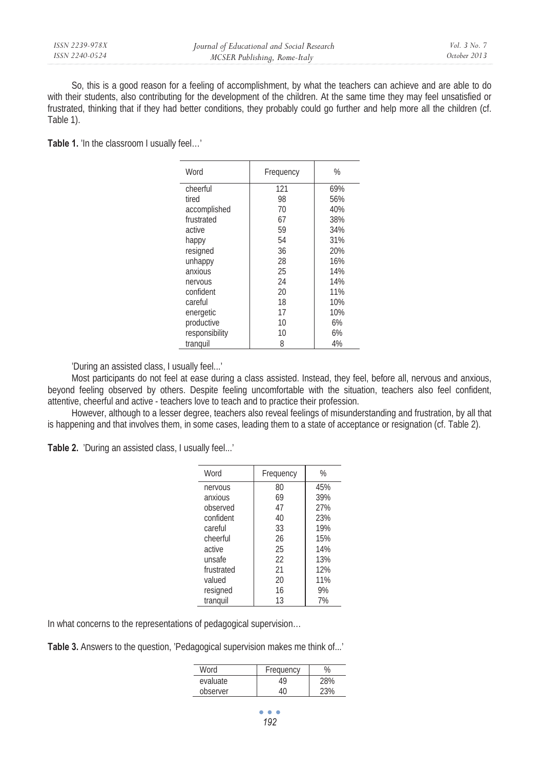So, this is a good reason for a feeling of accomplishment, by what the teachers can achieve and are able to do with their students, also contributing for the development of the children. At the same time they may feel unsatisfied or frustrated, thinking that if they had better conditions, they probably could go further and help more all the children (cf. Table 1).

**Table 1.** 'In the classroom I usually feel…'

| Word           | Frequency | %   |
|----------------|-----------|-----|
| cheerful       | 121       | 69% |
| tired          | 98        | 56% |
| accomplished   | 70        | 40% |
| frustrated     | 67        | 38% |
| active         | 59        | 34% |
| happy          | 54        | 31% |
| resigned       | 36        | 20% |
| unhappy        | 28        | 16% |
| anxious        | 25        | 14% |
| nervous        | 24        | 14% |
| confident      | 20        | 11% |
| careful        | 18        | 10% |
| energetic      | 17        | 10% |
| productive     | 10        | 6%  |
| responsibility | 10        | 6%  |
| tranguil       | 8         | 4%  |

'During an assisted class, I usually feel...'

Most participants do not feel at ease during a class assisted. Instead, they feel, before all, nervous and anxious, beyond feeling observed by others. Despite feeling uncomfortable with the situation, teachers also feel confident, attentive, cheerful and active - teachers love to teach and to practice their profession.

However, although to a lesser degree, teachers also reveal feelings of misunderstanding and frustration, by all that is happening and that involves them, in some cases, leading them to a state of acceptance or resignation (cf. Table 2).

**Table 2.** 'During an assisted class, I usually feel...'

| Word       | Frequency | %   |  |
|------------|-----------|-----|--|
| nervous    | 80        | 45% |  |
| anxious    | 69        | 39% |  |
| observed   | 47        | 27% |  |
| confident  | 40        | 23% |  |
| careful    | 33        | 19% |  |
| cheerful   | 26        | 15% |  |
| active     | 25        | 14% |  |
| unsafe     | 22        | 13% |  |
| frustrated | 21        | 12% |  |
| valued     | 20        | 11% |  |
| resigned   | 16        | 9%  |  |
| tranguil   | 13        | 7%  |  |

In what concerns to the representations of pedagogical supervision…

**Table 3.** Answers to the question, 'Pedagogical supervision makes me think of...'

| <b>Word</b> | Frequency |     |
|-------------|-----------|-----|
| evaluate    | 49        | 28% |
| observer    | 1٢        |     |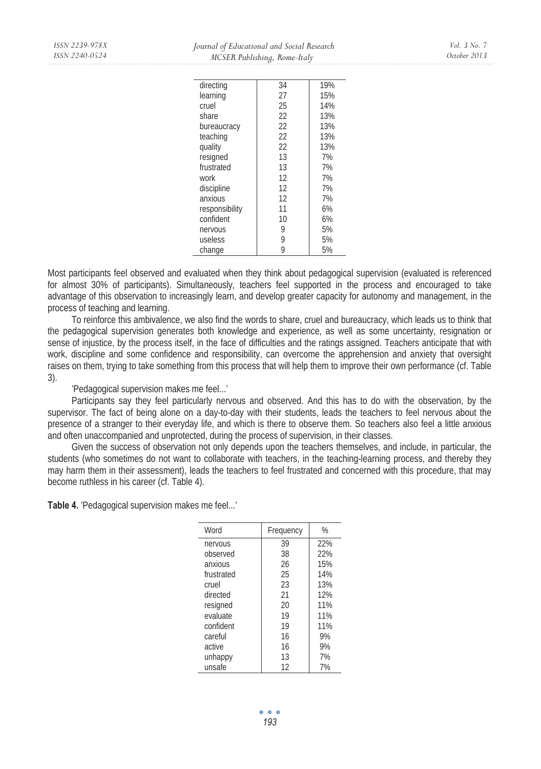| directing      | 34 | 19% |
|----------------|----|-----|
|                |    |     |
| learning       | 27 | 15% |
| cruel          | 25 | 14% |
| share          | 22 | 13% |
| bureaucracy    | 22 | 13% |
| teaching       | 22 | 13% |
| quality        | 22 | 13% |
| resigned       | 13 | 7%  |
| frustrated     | 13 | 7%  |
| work           | 12 | 7%  |
| discipline     | 12 | 7%  |
| anxious        | 12 | 7%  |
| responsibility | 11 | 6%  |
| confident      | 10 | 6%  |
| nervous        | 9  | 5%  |
| useless        | 9  | 5%  |
| change         | 9  | 5%  |

Most participants feel observed and evaluated when they think about pedagogical supervision (evaluated is referenced for almost 30% of participants). Simultaneously, teachers feel supported in the process and encouraged to take advantage of this observation to increasingly learn, and develop greater capacity for autonomy and management, in the process of teaching and learning.

To reinforce this ambivalence, we also find the words to share, cruel and bureaucracy, which leads us to think that the pedagogical supervision generates both knowledge and experience, as well as some uncertainty, resignation or sense of injustice, by the process itself, in the face of difficulties and the ratings assigned. Teachers anticipate that with work, discipline and some confidence and responsibility, can overcome the apprehension and anxiety that oversight raises on them, trying to take something from this process that will help them to improve their own performance (cf. Table 3).

'Pedagogical supervision makes me feel...'

Participants say they feel particularly nervous and observed. And this has to do with the observation, by the supervisor. The fact of being alone on a day-to-day with their students, leads the teachers to feel nervous about the presence of a stranger to their everyday life, and which is there to observe them. So teachers also feel a little anxious and often unaccompanied and unprotected, during the process of supervision, in their classes.

Given the success of observation not only depends upon the teachers themselves, and include, in particular, the students (who sometimes do not want to collaborate with teachers, in the teaching-learning process, and thereby they may harm them in their assessment), leads the teachers to feel frustrated and concerned with this procedure, that may become ruthless in his career (cf. Table 4).

**Table 4.** 'Pedagogical supervision makes me feel...'

| Word       | Frequency | %   |
|------------|-----------|-----|
| nervous    | 39        | 22% |
| observed   | 38        | 22% |
| anxious    | 26        | 15% |
| frustrated | 25        | 14% |
| cruel      | 23        | 13% |
| directed   | 21        | 12% |
| resigned   | 20        | 11% |
| evaluate   | 19        | 11% |
| confident  | 19        | 11% |
| careful    | 16        | 9%  |
| active     | 16        | 9%  |
| unhappy    | 13        | 7%  |
| unsafe     | 12        | 7%  |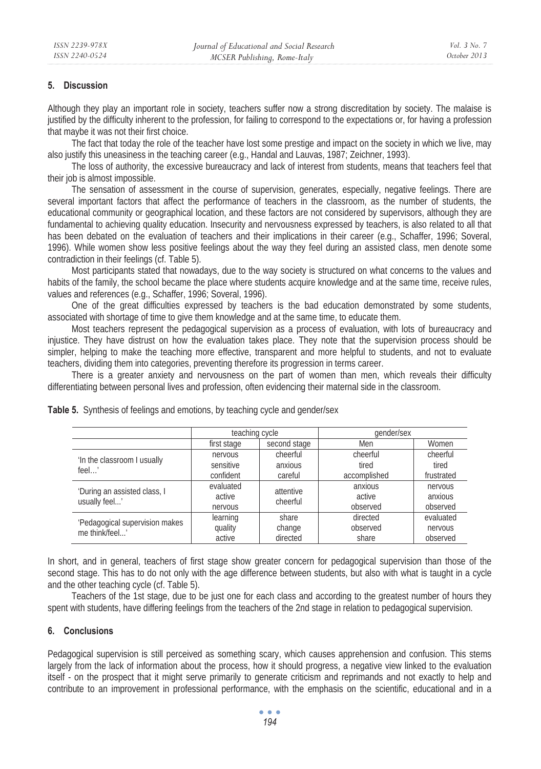### **5. Discussion**

Although they play an important role in society, teachers suffer now a strong discreditation by society. The malaise is justified by the difficulty inherent to the profession, for failing to correspond to the expectations or, for having a profession that maybe it was not their first choice.

The fact that today the role of the teacher have lost some prestige and impact on the society in which we live, may also justify this uneasiness in the teaching career (e.g., Handal and Lauvas, 1987; Zeichner, 1993).

The loss of authority, the excessive bureaucracy and lack of interest from students, means that teachers feel that their job is almost impossible.

The sensation of assessment in the course of supervision, generates, especially, negative feelings. There are several important factors that affect the performance of teachers in the classroom, as the number of students, the educational community or geographical location, and these factors are not considered by supervisors, although they are fundamental to achieving quality education. Insecurity and nervousness expressed by teachers, is also related to all that has been debated on the evaluation of teachers and their implications in their career (e.g., Schaffer, 1996; Soveral, 1996). While women show less positive feelings about the way they feel during an assisted class, men denote some contradiction in their feelings (cf. Table 5).

Most participants stated that nowadays, due to the way society is structured on what concerns to the values and habits of the family, the school became the place where students acquire knowledge and at the same time, receive rules, values and references (e.g., Schaffer, 1996; Soveral, 1996).

One of the great difficulties expressed by teachers is the bad education demonstrated by some students, associated with shortage of time to give them knowledge and at the same time, to educate them.

Most teachers represent the pedagogical supervision as a process of evaluation, with lots of bureaucracy and injustice. They have distrust on how the evaluation takes place. They note that the supervision process should be simpler, helping to make the teaching more effective, transparent and more helpful to students, and not to evaluate teachers, dividing them into categories, preventing therefore its progression in terms career.

There is a greater anxiety and nervousness on the part of women than men, which reveals their difficulty differentiating between personal lives and profession, often evidencing their maternal side in the classroom.

|                                                  | teaching cycle                    |                                | gender/sex                        |                                  |
|--------------------------------------------------|-----------------------------------|--------------------------------|-----------------------------------|----------------------------------|
|                                                  | first stage                       | second stage                   | Men                               | Women                            |
| 'In the classroom I usually<br>feel'             | nervous<br>sensitive<br>confident | cheerful<br>anxious<br>careful | cheerful<br>tired<br>accomplished | cheerful<br>tired<br>frustrated  |
| 'During an assisted class, I<br>usually feel'    | evaluated<br>active<br>nervous    | attentive<br>cheerful          | anxious<br>active<br>observed     | nervous<br>anxious<br>observed   |
| 'Pedagogical supervision makes<br>me think/feel' | learning<br>quality<br>active     | share<br>change<br>directed    | directed<br>observed<br>share     | evaluated<br>nervous<br>observed |

**Table 5.** Synthesis of feelings and emotions, by teaching cycle and gender/sex

In short, and in general, teachers of first stage show greater concern for pedagogical supervision than those of the second stage. This has to do not only with the age difference between students, but also with what is taught in a cycle and the other teaching cycle (cf. Table 5).

Teachers of the 1st stage, due to be just one for each class and according to the greatest number of hours they spent with students, have differing feelings from the teachers of the 2nd stage in relation to pedagogical supervision.

### **6. Conclusions**

Pedagogical supervision is still perceived as something scary, which causes apprehension and confusion. This stems largely from the lack of information about the process, how it should progress, a negative view linked to the evaluation itself - on the prospect that it might serve primarily to generate criticism and reprimands and not exactly to help and contribute to an improvement in professional performance, with the emphasis on the scientific, educational and in a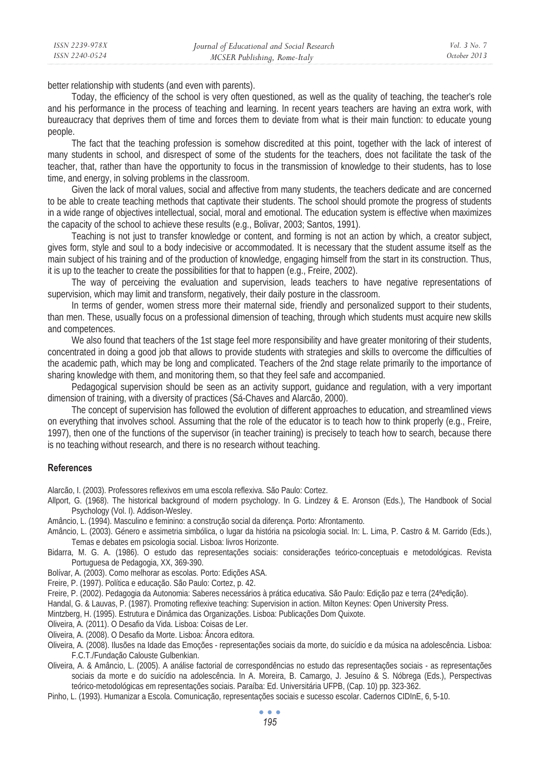better relationship with students (and even with parents).

*ISSN 2239-978X ISSN 2240-0524* 

Today, the efficiency of the school is very often questioned, as well as the quality of teaching, the teacher's role and his performance in the process of teaching and learning. In recent years teachers are having an extra work, with bureaucracy that deprives them of time and forces them to deviate from what is their main function: to educate young people.

The fact that the teaching profession is somehow discredited at this point, together with the lack of interest of many students in school, and disrespect of some of the students for the teachers, does not facilitate the task of the teacher, that, rather than have the opportunity to focus in the transmission of knowledge to their students, has to lose time, and energy, in solving problems in the classroom.

Given the lack of moral values, social and affective from many students, the teachers dedicate and are concerned to be able to create teaching methods that captivate their students. The school should promote the progress of students in a wide range of objectives intellectual, social, moral and emotional. The education system is effective when maximizes the capacity of the school to achieve these results (e.g., Bolivar, 2003; Santos, 1991).

Teaching is not just to transfer knowledge or content, and forming is not an action by which, a creator subject, gives form, style and soul to a body indecisive or accommodated. It is necessary that the student assume itself as the main subject of his training and of the production of knowledge, engaging himself from the start in its construction. Thus, it is up to the teacher to create the possibilities for that to happen (e.g., Freire, 2002).

The way of perceiving the evaluation and supervision, leads teachers to have negative representations of supervision, which may limit and transform, negatively, their daily posture in the classroom.

In terms of gender, women stress more their maternal side, friendly and personalized support to their students, than men. These, usually focus on a professional dimension of teaching, through which students must acquire new skills and competences.

We also found that teachers of the 1st stage feel more responsibility and have greater monitoring of their students, concentrated in doing a good job that allows to provide students with strategies and skills to overcome the difficulties of the academic path, which may be long and complicated. Teachers of the 2nd stage relate primarily to the importance of sharing knowledge with them, and monitoring them, so that they feel safe and accompanied.

Pedagogical supervision should be seen as an activity support, guidance and regulation, with a very important dimension of training, with a diversity of practices (Sá-Chaves and Alarcão, 2000).

The concept of supervision has followed the evolution of different approaches to education, and streamlined views on everything that involves school. Assuming that the role of the educator is to teach how to think properly (e.g., Freire, 1997), then one of the functions of the supervisor (in teacher training) is precisely to teach how to search, because there is no teaching without research, and there is no research without teaching.

### **References**

Alarcão, I. (2003). Professores reflexivos em uma escola reflexiva. São Paulo: Cortez.

Allport, G. (1968). The historical background of modern psychology. In G. Lindzey & E. Aronson (Eds.), The Handbook of Social Psychology (Vol. I). Addison-Wesley.

Amâncio, L. (1994). Masculino e feminino: a construção social da diferença. Porto: Afrontamento.

- Amâncio, L. (2003). Género e assimetria simbólica, o lugar da história na psicologia social. In: L. Lima, P. Castro & M. Garrido (Eds.), Temas e debates em psicologia social. Lisboa: livros Horizonte.
- Bidarra, M. G. A. (1986). O estudo das representações sociais: considerações teórico-conceptuais e metodológicas. Revista Portuguesa de Pedagogia, XX, 369-390.
- Bolívar, A. (2003). Como melhorar as escolas. Porto: Edições ASA.
- Freire, P. (1997). Política e educação. São Paulo: Cortez, p. 42.
- Freire, P. (2002). Pedagogia da Autonomia: Saberes necessários à prática educativa. São Paulo: Edição paz e terra (24ªedição).
- Handal, G. & Lauvas, P. (1987). Promoting reflexive teaching: Supervision in action. Milton Keynes: Open University Press.
- Mintzberg, H. (1995). Estrutura e Dinâmica das Organizações. Lisboa: Publicações Dom Quixote.
- Oliveira, A. (2011). O Desafio da Vida. Lisboa: Coisas de Ler.
- Oliveira, A. (2008). O Desafio da Morte. Lisboa: Âncora editora.
- Oliveira, A. (2008). Ilusões na Idade das Emoções representações sociais da morte, do suicídio e da música na adolescência. Lisboa: F.C.T./Fundação Calouste Gulbenkian.
- Oliveira, A. & Amâncio, L. (2005). A análise factorial de correspondências no estudo das representações sociais as representações sociais da morte e do suicídio na adolescência. In A. Moreira, B. Camargo, J. Jesuíno & S. Nóbrega (Eds.), Perspectivas teórico-metodológicas em representações sociais. Paraíba: Ed. Universitária UFPB, (Cap. 10) pp. 323-362.
- Pinho, L. (1993). Humanizar a Escola. Comunicação, representações sociais e sucesso escolar. Cadernos CIDInE, 6, 5-10.